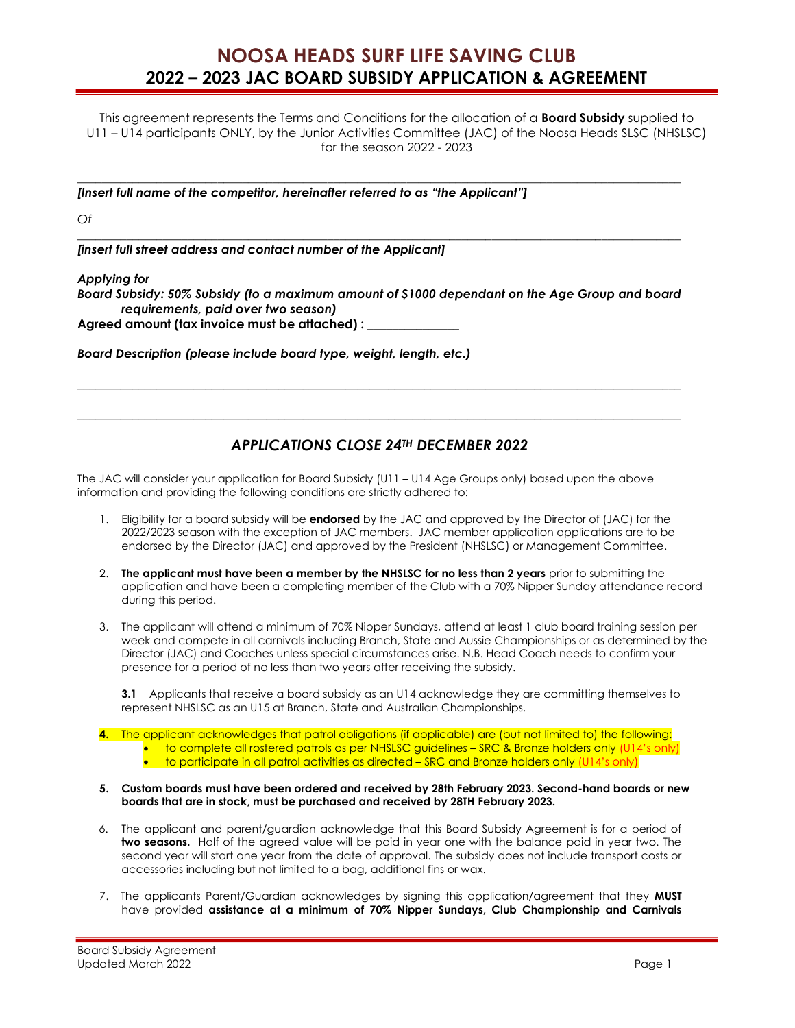## NOOSA HEADS SURF LIFE SAVING CLUB 2022 – 2023 JAC BOARD SUBSIDY APPLICATION & AGREEMENT

This agreement represents the Terms and Conditions for the allocation of a **Board Subsidy** supplied to U11 – U14 participants ONLY, by the Junior Activities Committee (JAC) of the Noosa Heads SLSC (NHSLSC) for the season 2022 - 2023

 $\_$  ,  $\_$  ,  $\_$  ,  $\_$  ,  $\_$  ,  $\_$  ,  $\_$  ,  $\_$  ,  $\_$  ,  $\_$  ,  $\_$  ,  $\_$  ,  $\_$  ,  $\_$  ,  $\_$  ,  $\_$  ,  $\_$  ,  $\_$  ,  $\_$  ,  $\_$  ,  $\_$  ,  $\_$  ,  $\_$  ,  $\_$  ,  $\_$  ,  $\_$  ,  $\_$  ,  $\_$  ,  $\_$  ,  $\_$  ,  $\_$  ,  $\_$  ,  $\_$  ,  $\_$  ,  $\_$  ,  $\_$  ,  $\_$  ,

 $\_$  ,  $\_$  ,  $\_$  ,  $\_$  ,  $\_$  ,  $\_$  ,  $\_$  ,  $\_$  ,  $\_$  ,  $\_$  ,  $\_$  ,  $\_$  ,  $\_$  ,  $\_$  ,  $\_$  ,  $\_$  ,  $\_$  ,  $\_$  ,  $\_$  ,  $\_$  ,  $\_$  ,  $\_$  ,  $\_$  ,  $\_$  ,  $\_$  ,  $\_$  ,  $\_$  ,  $\_$  ,  $\_$  ,  $\_$  ,  $\_$  ,  $\_$  ,  $\_$  ,  $\_$  ,  $\_$  ,  $\_$  ,  $\_$  ,

[Insert full name of the competitor, hereinafter referred to as "the Applicant"]

Of

[insert full street address and contact number of the Applicant]

## Applying for

Board Subsidy: 50% Subsidy (to a maximum amount of \$1000 dependant on the Age Group and board requirements, paid over two season)

Agreed amount (tax invoice must be attached) :

Board Description (please include board type, weight, length, etc.)

## APPLICATIONS CLOSE 24TH DECEMBER 2022

 $\_$  ,  $\_$  ,  $\_$  ,  $\_$  ,  $\_$  ,  $\_$  ,  $\_$  ,  $\_$  ,  $\_$  ,  $\_$  ,  $\_$  ,  $\_$  ,  $\_$  ,  $\_$  ,  $\_$  ,  $\_$  ,  $\_$  ,  $\_$  ,  $\_$  ,  $\_$  ,  $\_$  ,  $\_$  ,  $\_$  ,  $\_$  ,  $\_$  ,  $\_$  ,  $\_$  ,  $\_$  ,  $\_$  ,  $\_$  ,  $\_$  ,  $\_$  ,  $\_$  ,  $\_$  ,  $\_$  ,  $\_$  ,  $\_$  ,

\_\_\_\_\_\_\_\_\_\_\_\_\_\_\_\_\_\_\_\_\_\_\_\_\_\_\_\_\_\_\_\_\_\_\_\_\_\_\_\_\_\_\_\_\_\_\_\_\_\_\_\_\_\_\_\_\_\_\_\_\_\_\_\_\_\_\_\_\_\_\_\_\_\_\_\_\_\_\_\_\_\_\_\_\_\_\_\_\_\_\_\_\_\_\_\_\_\_\_

The JAC will consider your application for Board Subsidy (U11 – U14 Age Groups only) based upon the above information and providing the following conditions are strictly adhered to:

- 1. Eligibility for a board subsidy will be endorsed by the JAC and approved by the Director of (JAC) for the 2022/2023 season with the exception of JAC members. JAC member application applications are to be endorsed by the Director (JAC) and approved by the President (NHSLSC) or Management Committee.
- 2. The applicant must have been a member by the NHSLSC for no less than 2 years prior to submitting the application and have been a completing member of the Club with a 70% Nipper Sunday attendance record during this period.
- 3. The applicant will attend a minimum of 70% Nipper Sundays, attend at least 1 club board training session per week and compete in all carnivals including Branch, State and Aussie Championships or as determined by the Director (JAC) and Coaches unless special circumstances arise. N.B. Head Coach needs to confirm your presence for a period of no less than two years after receiving the subsidy.

3.1 Applicants that receive a board subsidy as an U14 acknowledge they are committing themselves to represent NHSLSC as an U15 at Branch, State and Australian Championships.

- 4. The applicant acknowledges that patrol obligations (if applicable) are (but not limited to) the following: to complete all rostered patrols as per NHSLSC guidelines – SRC & Bronze holders only (U14's only)  $\bullet$  to participate in all patrol activities as directed – SRC and Bronze holders only (U14's only)
- 5. Custom boards must have been ordered and received by 28th February 2023. Second-hand boards or new boards that are in stock, must be purchased and received by 28TH February 2023.
- 6. The applicant and parent/guardian acknowledge that this Board Subsidy Agreement is for a period of two seasons. Half of the agreed value will be paid in year one with the balance paid in year two. The second year will start one year from the date of approval. The subsidy does not include transport costs or accessories including but not limited to a bag, additional fins or wax.
- 7. The applicants Parent/Guardian acknowledges by signing this application/agreement that they MUST have provided assistance at a minimum of 70% Nipper Sundays, Club Championship and Carnivals